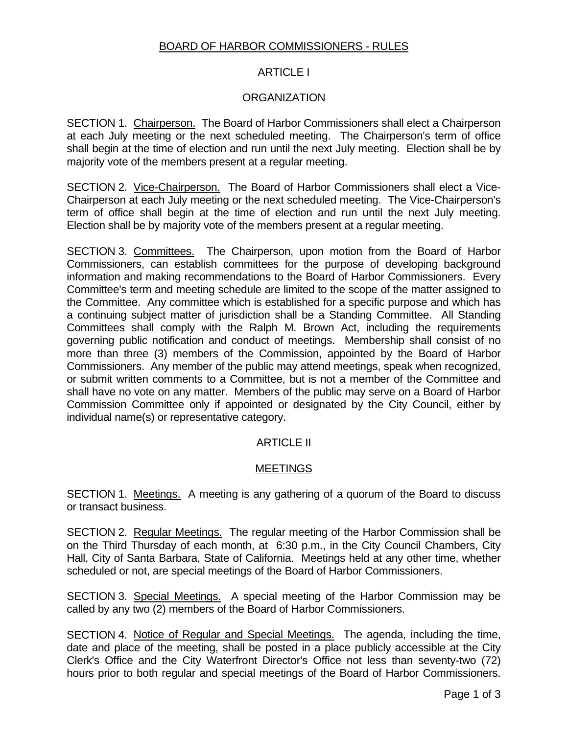#### BOARD OF HARBOR COMMISSIONERS - RULES

# ARTICLE I

#### **ORGANIZATION**

SECTION 1. Chairperson. The Board of Harbor Commissioners shall elect a Chairperson at each July meeting or the next scheduled meeting. The Chairperson's term of office shall begin at the time of election and run until the next July meeting. Election shall be by majority vote of the members present at a regular meeting.

SECTION 2. Vice-Chairperson. The Board of Harbor Commissioners shall elect a Vice-Chairperson at each July meeting or the next scheduled meeting. The Vice-Chairperson's term of office shall begin at the time of election and run until the next July meeting. Election shall be by majority vote of the members present at a regular meeting.

SECTION 3. Committees. The Chairperson, upon motion from the Board of Harbor Commissioners, can establish committees for the purpose of developing background information and making recommendations to the Board of Harbor Commissioners. Every Committee's term and meeting schedule are limited to the scope of the matter assigned to the Committee. Any committee which is established for a specific purpose and which has a continuing subject matter of jurisdiction shall be a Standing Committee. All Standing Committees shall comply with the Ralph M. Brown Act, including the requirements governing public notification and conduct of meetings. Membership shall consist of no more than three (3) members of the Commission, appointed by the Board of Harbor Commissioners. Any member of the public may attend meetings, speak when recognized, or submit written comments to a Committee, but is not a member of the Committee and shall have no vote on any matter. Members of the public may serve on a Board of Harbor Commission Committee only if appointed or designated by the City Council, either by individual name(s) or representative category.

# ARTICLE II

# MEETINGS

SECTION 1. Meetings. A meeting is any gathering of a quorum of the Board to discuss or transact business.

SECTION 2. Regular Meetings. The regular meeting of the Harbor Commission shall be on the Third Thursday of each month, at 6:30 p.m., in the City Council Chambers, City Hall, City of Santa Barbara, State of California. Meetings held at any other time, whether scheduled or not, are special meetings of the Board of Harbor Commissioners.

SECTION 3. Special Meetings. A special meeting of the Harbor Commission may be called by any two (2) members of the Board of Harbor Commissioners.

SECTION 4. Notice of Regular and Special Meetings. The agenda, including the time, date and place of the meeting, shall be posted in a place publicly accessible at the City Clerk's Office and the City Waterfront Director's Office not less than seventy-two (72) hours prior to both regular and special meetings of the Board of Harbor Commissioners.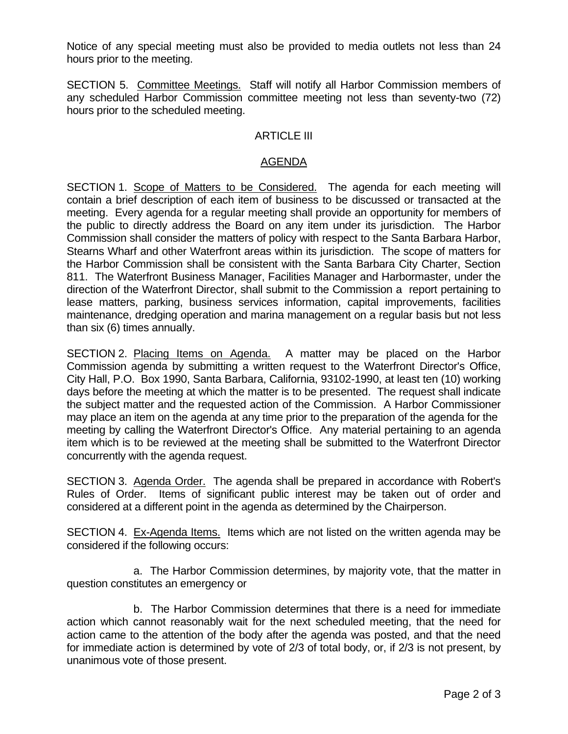Notice of any special meeting must also be provided to media outlets not less than 24 hours prior to the meeting.

SECTION 5. Committee Meetings. Staff will notify all Harbor Commission members of any scheduled Harbor Commission committee meeting not less than seventy-two (72) hours prior to the scheduled meeting.

# ARTICLE III

#### AGENDA

SECTION 1. Scope of Matters to be Considered. The agenda for each meeting will contain a brief description of each item of business to be discussed or transacted at the meeting. Every agenda for a regular meeting shall provide an opportunity for members of the public to directly address the Board on any item under its jurisdiction. The Harbor Commission shall consider the matters of policy with respect to the Santa Barbara Harbor, Stearns Wharf and other Waterfront areas within its jurisdiction. The scope of matters for the Harbor Commission shall be consistent with the Santa Barbara City Charter, Section 811. The Waterfront Business Manager, Facilities Manager and Harbormaster, under the direction of the Waterfront Director, shall submit to the Commission a report pertaining to lease matters, parking, business services information, capital improvements, facilities maintenance, dredging operation and marina management on a regular basis but not less than six (6) times annually.

SECTION 2. Placing Items on Agenda. A matter may be placed on the Harbor Commission agenda by submitting a written request to the Waterfront Director's Office, City Hall, P.O. Box 1990, Santa Barbara, California, 93102-1990, at least ten (10) working days before the meeting at which the matter is to be presented. The request shall indicate the subject matter and the requested action of the Commission. A Harbor Commissioner may place an item on the agenda at any time prior to the preparation of the agenda for the meeting by calling the Waterfront Director's Office. Any material pertaining to an agenda item which is to be reviewed at the meeting shall be submitted to the Waterfront Director concurrently with the agenda request.

SECTION 3. Agenda Order. The agenda shall be prepared in accordance with Robert's Rules of Order. Items of significant public interest may be taken out of order and considered at a different point in the agenda as determined by the Chairperson.

SECTION 4. Ex-Agenda Items. Items which are not listed on the written agenda may be considered if the following occurs:

 a. The Harbor Commission determines, by majority vote, that the matter in question constitutes an emergency or

 b. The Harbor Commission determines that there is a need for immediate action which cannot reasonably wait for the next scheduled meeting, that the need for action came to the attention of the body after the agenda was posted, and that the need for immediate action is determined by vote of 2/3 of total body, or, if 2/3 is not present, by unanimous vote of those present.